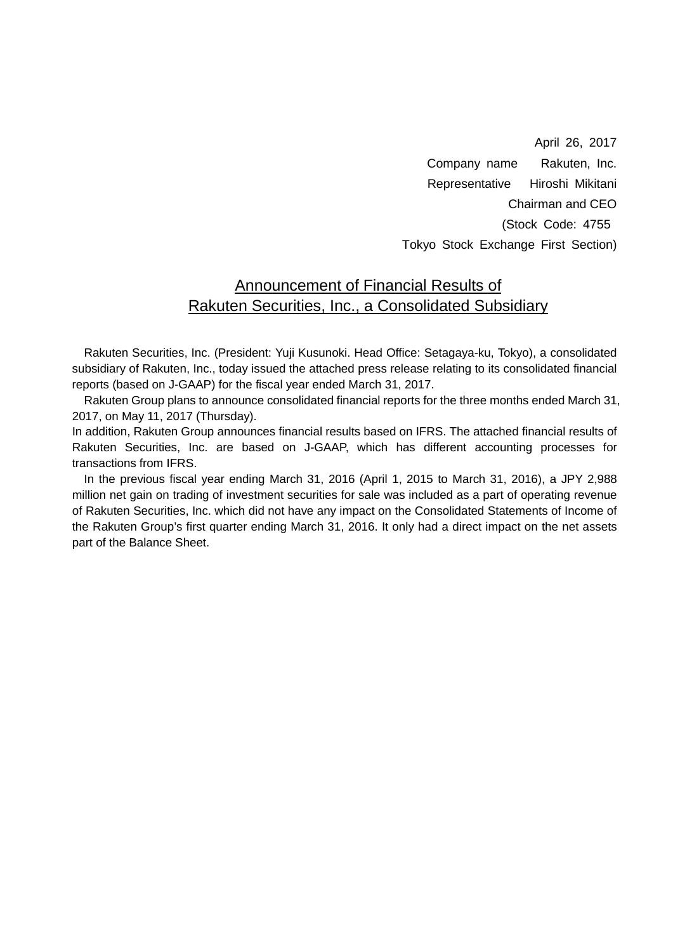April 26, 2017 Company name Rakuten, Inc. Representative Hiroshi Mikitani Chairman and CEO (Stock Code: 4755 Tokyo Stock Exchange First Section)

### Announcement of Financial Results of Rakuten Securities, Inc., a Consolidated Subsidiary

Rakuten Securities, Inc. (President: Yuji Kusunoki. Head Office: Setagaya-ku, Tokyo), a consolidated subsidiary of Rakuten, Inc., today issued the attached press release relating to its consolidated financial reports (based on J-GAAP) for the fiscal year ended March 31, 2017.

Rakuten Group plans to announce consolidated financial reports for the three months ended March 31, 2017, on May 11, 2017 (Thursday).

In addition, Rakuten Group announces financial results based on IFRS. The attached financial results of Rakuten Securities, Inc. are based on J-GAAP, which has different accounting processes for transactions from IFRS.

In the previous fiscal year ending March 31, 2016 (April 1, 2015 to March 31, 2016), a JPY 2,988 million net gain on trading of investment securities for sale was included as a part of operating revenue of Rakuten Securities, Inc. which did not have any impact on the Consolidated Statements of Income of the Rakuten Group's first quarter ending March 31, 2016. It only had a direct impact on the net assets part of the Balance Sheet.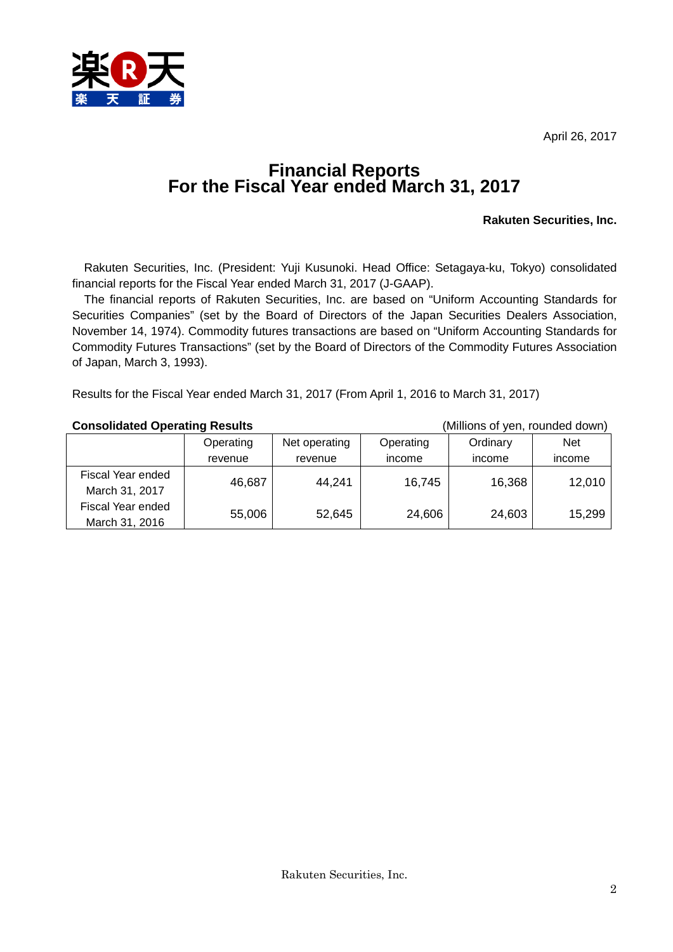April 26, 2017



# **Financial Reports For the Fiscal Year ended March 31, 2017**

#### **Rakuten Securities, Inc.**

Rakuten Securities, Inc. (President: Yuji Kusunoki. Head Office: Setagaya-ku, Tokyo) consolidated financial reports for the Fiscal Year ended March 31, 2017 (J-GAAP).

The financial reports of Rakuten Securities, Inc. are based on "Uniform Accounting Standards for Securities Companies" (set by the Board of Directors of the Japan Securities Dealers Association, November 14, 1974). Commodity futures transactions are based on "Uniform Accounting Standards for Commodity Futures Transactions" (set by the Board of Directors of the Commodity Futures Association of Japan, March 3, 1993).

Results for the Fiscal Year ended March 31, 2017 (From April 1, 2016 to March 31, 2017)

#### **Consolidated Operating Results** (Millions of yen, rounded down)

|                   | Operating | Net operating | Operating | Ordinary | <b>Net</b> |
|-------------------|-----------|---------------|-----------|----------|------------|
|                   | revenue   | revenue       | income    | income   | income     |
| Fiscal Year ended | 46,687    |               |           |          | 12,010     |
| March 31, 2017    |           | 44,241        | 16,745    | 16,368   |            |
| Fiscal Year ended |           |               |           |          |            |
| March 31, 2016    | 55,006    | 52,645        | 24,606    | 24,603   | 15,299     |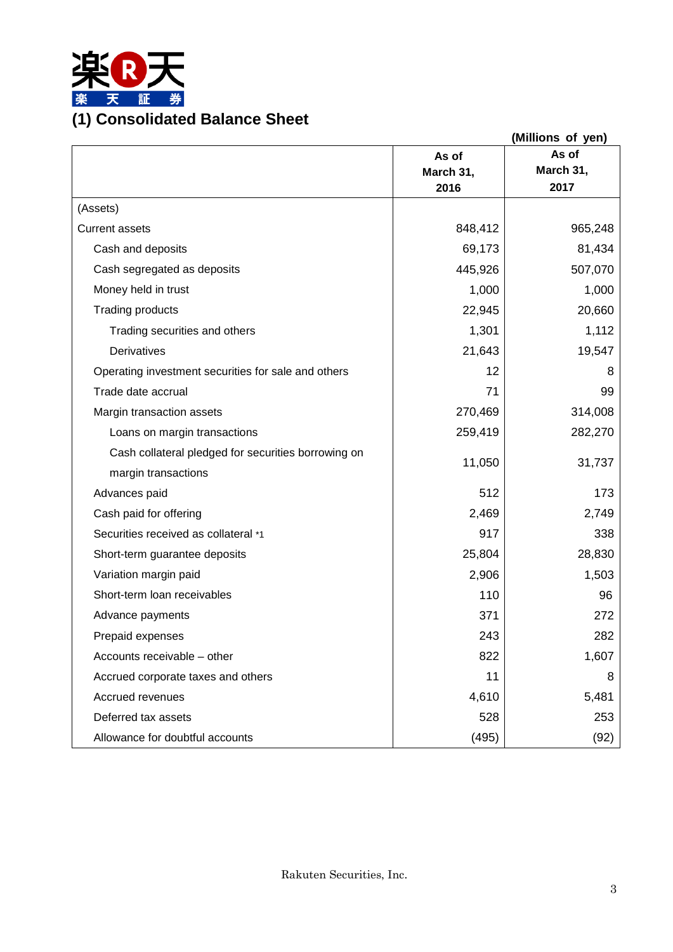

|                                                     |           | (Millions of yen) |
|-----------------------------------------------------|-----------|-------------------|
|                                                     | As of     | As of             |
|                                                     | March 31, | March 31,         |
|                                                     | 2016      | 2017              |
| (Assets)                                            |           |                   |
| <b>Current assets</b>                               | 848,412   | 965,248           |
| Cash and deposits                                   | 69,173    | 81,434            |
| Cash segregated as deposits                         | 445,926   | 507,070           |
| Money held in trust                                 | 1,000     | 1,000             |
| <b>Trading products</b>                             | 22,945    | 20,660            |
| Trading securities and others                       | 1,301     | 1,112             |
| Derivatives                                         | 21,643    | 19,547            |
| Operating investment securities for sale and others | 12        | 8                 |
| Trade date accrual                                  | 71        | 99                |
| Margin transaction assets                           | 270,469   | 314,008           |
| Loans on margin transactions                        | 259,419   | 282,270           |
| Cash collateral pledged for securities borrowing on |           |                   |
| margin transactions                                 | 11,050    | 31,737            |
| Advances paid                                       | 512       | 173               |
| Cash paid for offering                              | 2,469     | 2,749             |
| Securities received as collateral *1                | 917       | 338               |
| Short-term guarantee deposits                       | 25,804    | 28,830            |
| Variation margin paid                               | 2,906     | 1,503             |
| Short-term loan receivables                         | 110       | 96                |
| Advance payments                                    | 371       | 272               |
| Prepaid expenses                                    | 243       | 282               |
| Accounts receivable - other                         | 822       | 1,607             |
| Accrued corporate taxes and others                  | 11        | 8                 |
| Accrued revenues                                    | 4,610     | 5,481             |
| Deferred tax assets                                 | 528       | 253               |
| Allowance for doubtful accounts                     | (495)     | (92)              |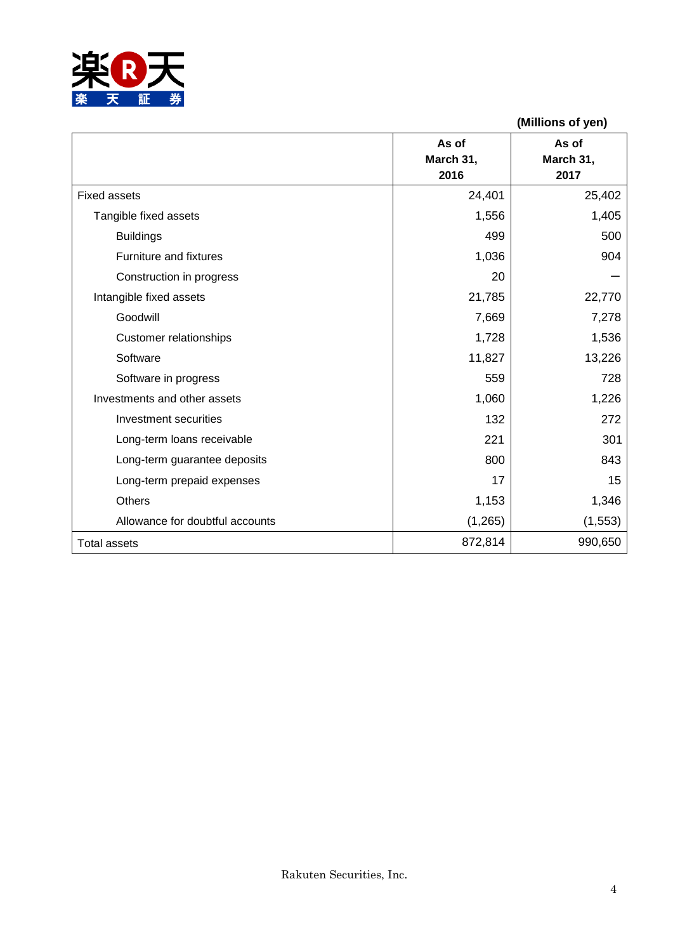

|                                 |                            | (Millions of yen)          |
|---------------------------------|----------------------------|----------------------------|
|                                 | As of<br>March 31,<br>2016 | As of<br>March 31,<br>2017 |
| <b>Fixed assets</b>             | 24,401                     | 25,402                     |
| Tangible fixed assets           | 1,556                      | 1,405                      |
| <b>Buildings</b>                | 499                        | 500                        |
| Furniture and fixtures          | 1,036                      | 904                        |
| Construction in progress        | 20                         |                            |
| Intangible fixed assets         | 21,785                     | 22,770                     |
| Goodwill                        | 7,669                      | 7,278                      |
| <b>Customer relationships</b>   | 1,728                      | 1,536                      |
| Software                        | 11,827                     | 13,226                     |
| Software in progress            | 559                        | 728                        |
| Investments and other assets    | 1,060                      | 1,226                      |
| Investment securities           | 132                        | 272                        |
| Long-term loans receivable      | 221                        | 301                        |
| Long-term guarantee deposits    | 800                        | 843                        |
| Long-term prepaid expenses      | 17                         | 15                         |
| <b>Others</b>                   | 1,153                      | 1,346                      |
| Allowance for doubtful accounts | (1, 265)                   | (1, 553)                   |
| <b>Total assets</b>             | 872,814                    | 990,650                    |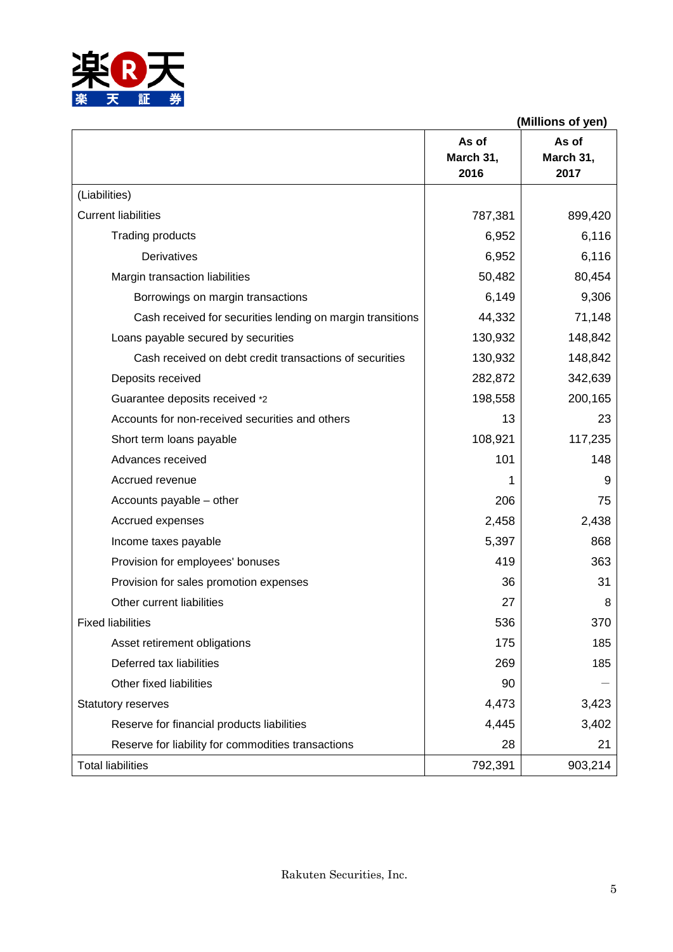

|                                                            | (Millions of yen)          |                            |
|------------------------------------------------------------|----------------------------|----------------------------|
|                                                            | As of<br>March 31,<br>2016 | As of<br>March 31,<br>2017 |
| (Liabilities)                                              |                            |                            |
| <b>Current liabilities</b>                                 | 787,381                    | 899,420                    |
| Trading products                                           | 6,952                      | 6,116                      |
| Derivatives                                                | 6,952                      | 6,116                      |
| Margin transaction liabilities                             | 50,482                     | 80,454                     |
| Borrowings on margin transactions                          | 6,149                      | 9,306                      |
| Cash received for securities lending on margin transitions | 44,332                     | 71,148                     |
| Loans payable secured by securities                        | 130,932                    | 148,842                    |
| Cash received on debt credit transactions of securities    | 130,932                    | 148,842                    |
| Deposits received                                          | 282,872                    | 342,639                    |
| Guarantee deposits received *2                             | 198,558                    | 200,165                    |
| Accounts for non-received securities and others            | 13                         | 23                         |
| Short term loans payable                                   | 108,921                    | 117,235                    |
| Advances received                                          | 101                        | 148                        |
| Accrued revenue                                            | 1                          | 9                          |
| Accounts payable - other                                   | 206                        | 75                         |
| Accrued expenses                                           | 2,458                      | 2,438                      |
| Income taxes payable                                       | 5,397                      | 868                        |
| Provision for employees' bonuses                           | 419                        | 363                        |
| Provision for sales promotion expenses                     | 36                         | 31                         |
| Other current liabilities                                  | 27                         | 8                          |
| <b>Fixed liabilities</b>                                   | 536                        | 370                        |
| Asset retirement obligations                               | 175                        | 185                        |
| Deferred tax liabilities                                   | 269                        | 185                        |
| Other fixed liabilities                                    | 90                         |                            |
| <b>Statutory reserves</b>                                  | 4,473                      | 3,423                      |
| Reserve for financial products liabilities                 | 4,445                      | 3,402                      |
| Reserve for liability for commodities transactions         | 28                         | 21                         |
| <b>Total liabilities</b>                                   | 792,391                    | 903,214                    |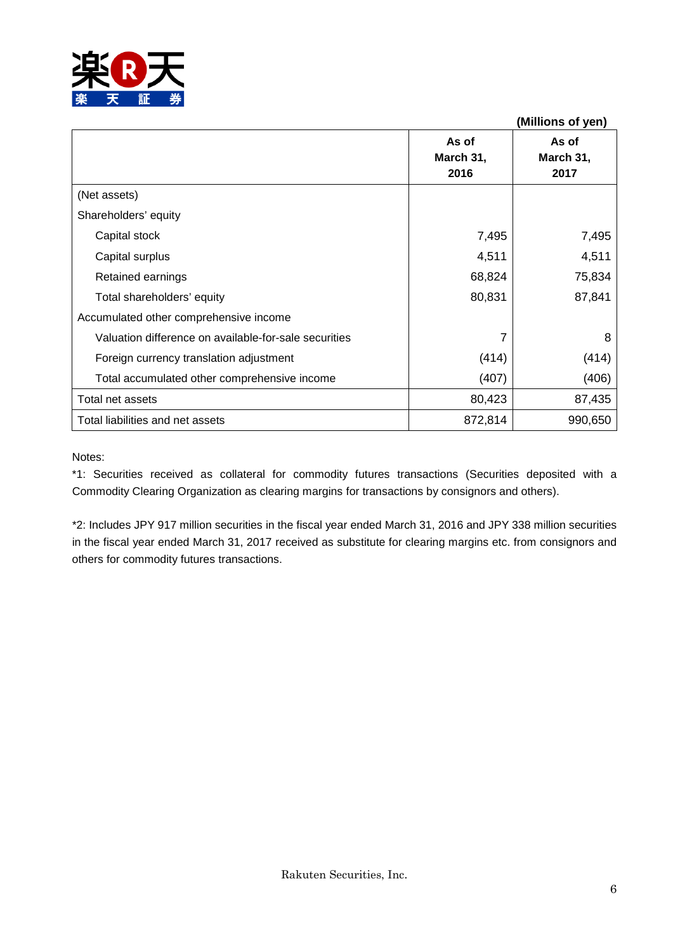

|                                                       |                            | (Millions of yen)          |
|-------------------------------------------------------|----------------------------|----------------------------|
|                                                       | As of<br>March 31,<br>2016 | As of<br>March 31,<br>2017 |
| (Net assets)                                          |                            |                            |
| Shareholders' equity                                  |                            |                            |
| Capital stock                                         | 7,495                      | 7,495                      |
| Capital surplus                                       | 4,511                      | 4,511                      |
| Retained earnings                                     | 68,824                     | 75,834                     |
| Total shareholders' equity                            | 80,831                     | 87,841                     |
| Accumulated other comprehensive income                |                            |                            |
| Valuation difference on available-for-sale securities |                            | 8                          |
| Foreign currency translation adjustment               | (414)                      | (414)                      |
| Total accumulated other comprehensive income          | (407)                      | (406)                      |
| Total net assets                                      | 80,423                     | 87,435                     |
| Total liabilities and net assets                      | 872,814                    | 990,650                    |

#### Notes:

\*1: Securities received as collateral for commodity futures transactions (Securities deposited with a Commodity Clearing Organization as clearing margins for transactions by consignors and others).

\*2: Includes JPY 917 million securities in the fiscal year ended March 31, 2016 and JPY 338 million securities in the fiscal year ended March 31, 2017 received as substitute for clearing margins etc. from consignors and others for commodity futures transactions.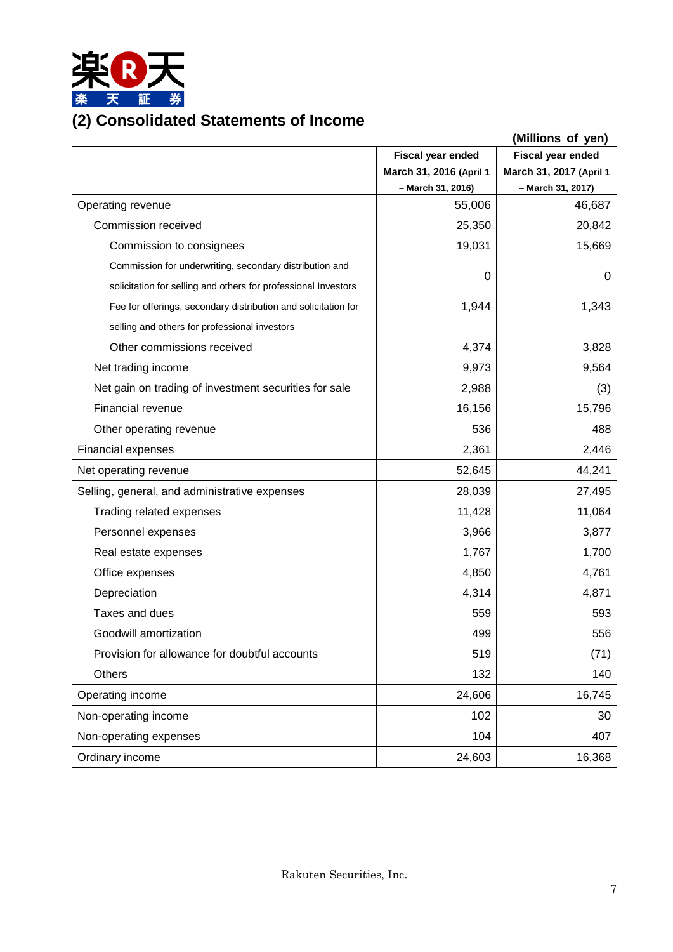

## **(2) Consolidated Statements of Income**

|                                                                |                          | (Millions of yen)       |
|----------------------------------------------------------------|--------------------------|-------------------------|
|                                                                | <b>Fiscal year ended</b> | Fiscal year ended       |
|                                                                | March 31, 2016 (April 1  | March 31, 2017 (April 1 |
|                                                                | - March 31, 2016)        | - March 31, 2017)       |
| Operating revenue                                              | 55,006                   | 46,687                  |
| Commission received                                            | 25,350                   | 20,842                  |
| Commission to consignees                                       | 19,031                   | 15,669                  |
| Commission for underwriting, secondary distribution and        | 0                        | 0                       |
| solicitation for selling and others for professional Investors |                          |                         |
| Fee for offerings, secondary distribution and solicitation for | 1,944                    | 1,343                   |
| selling and others for professional investors                  |                          |                         |
| Other commissions received                                     | 4,374                    | 3,828                   |
| Net trading income                                             | 9,973                    | 9,564                   |
| Net gain on trading of investment securities for sale          | 2,988                    | (3)                     |
| Financial revenue                                              | 16,156                   | 15,796                  |
| Other operating revenue                                        | 536                      | 488                     |
| <b>Financial expenses</b>                                      | 2,361                    | 2,446                   |
| Net operating revenue                                          | 52,645                   | 44,241                  |
| Selling, general, and administrative expenses                  | 28,039                   | 27,495                  |
| Trading related expenses                                       | 11,428                   | 11,064                  |
| Personnel expenses                                             | 3,966                    | 3,877                   |
| Real estate expenses                                           | 1,767                    | 1,700                   |
| Office expenses                                                | 4,850                    | 4,761                   |
| Depreciation                                                   | 4,314                    | 4,871                   |
| Taxes and dues                                                 | 559                      | 593                     |
| Goodwill amortization                                          | 499                      | 556                     |
| Provision for allowance for doubtful accounts                  | 519                      | (71)                    |
| <b>Others</b>                                                  | 132                      | 140                     |
| Operating income                                               | 24,606                   | 16,745                  |
| Non-operating income                                           | 102                      | 30                      |
| Non-operating expenses                                         | 104                      | 407                     |
| Ordinary income                                                | 24,603                   | 16,368                  |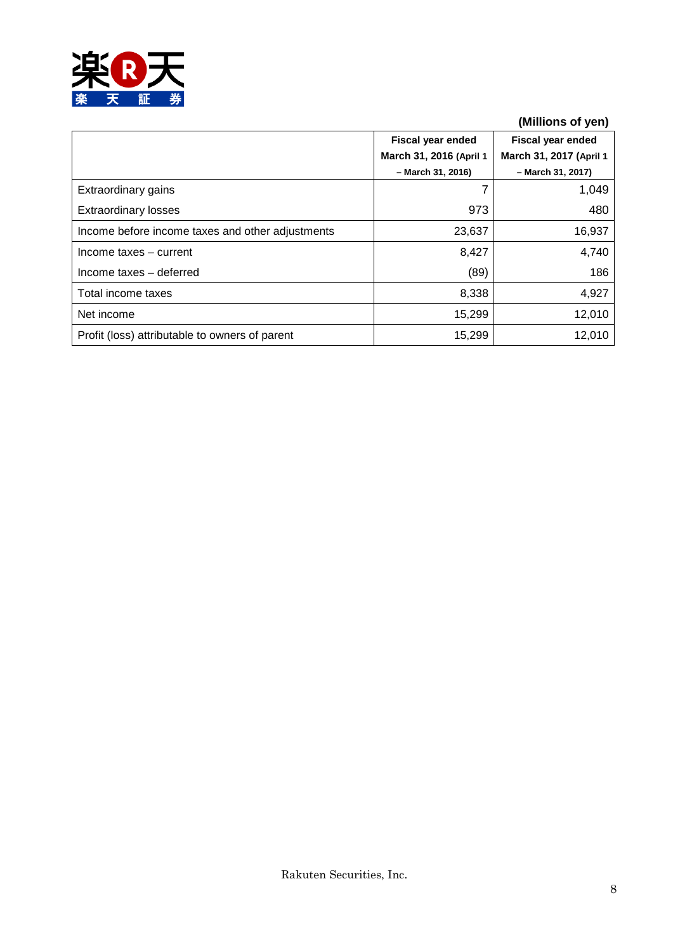

## **(Millions of yen)**

|                                                  | <b>Fiscal year ended</b><br>March 31, 2016 (April 1 | <b>Fiscal year ended</b><br>March 31, 2017 (April 1 |
|--------------------------------------------------|-----------------------------------------------------|-----------------------------------------------------|
| Extraordinary gains                              | - March 31, 2016)                                   | - March 31, 2017)<br>1,049                          |
|                                                  |                                                     |                                                     |
| <b>Extraordinary losses</b>                      | 973                                                 | 480                                                 |
| Income before income taxes and other adjustments | 23,637                                              | 16,937                                              |
| Income taxes - current                           | 8,427                                               | 4,740                                               |
| Income taxes - deferred                          | (89)                                                | 186                                                 |
| Total income taxes                               | 8,338                                               | 4,927                                               |
| Net income                                       | 15,299                                              | 12,010                                              |
| Profit (loss) attributable to owners of parent   | 15,299                                              | 12,010                                              |